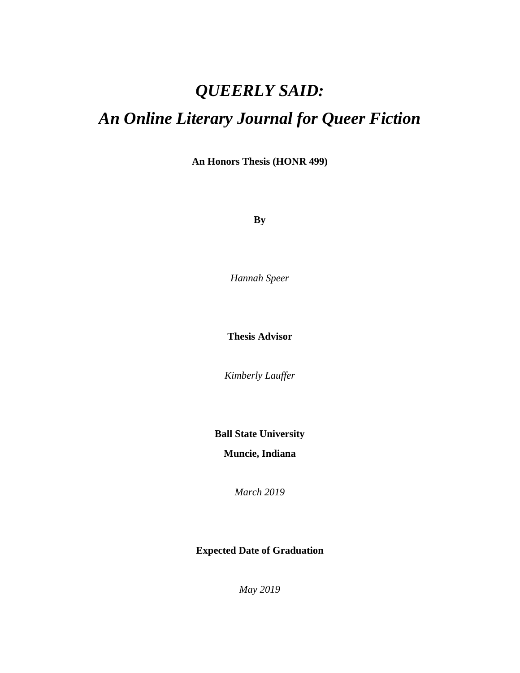## *QUEERLY SAID: An Online Literary Journal for Queer Fiction*

**An Honors Thesis (HONR 499)** 

**By**

*Hannah Speer* 

**Thesis Advisor** 

*Kimberly Lauffer* 

**Ball State University** 

**Muncie, Indiana** 

*March 2019* 

## **Expected Date of Graduation**

*May 2019*